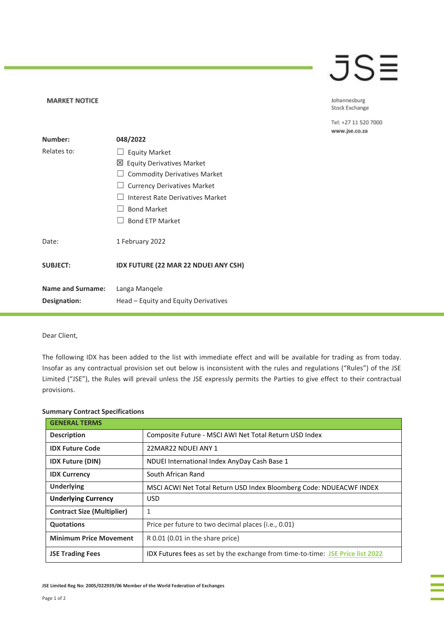## JSE

## Johannesburg Stock Exchange

Tel: +27 11 520 7000 www.jse.co.za

| Number:                  | 048/2022                                    |
|--------------------------|---------------------------------------------|
| Relates to:              | <b>Equity Market</b>                        |
|                          | 凶 Equity Derivatives Market                 |
|                          | <b>Commodity Derivatives Market</b>         |
|                          | <b>Currency Derivatives Market</b>          |
|                          | Interest Rate Derivatives Market            |
|                          | <b>Bond Market</b>                          |
|                          | <b>Bond ETP Market</b>                      |
| Date:                    | 1 February 2022                             |
| <b>SUBJECT:</b>          | <b>IDX FUTURE (22 MAR 22 NDUEI ANY CSH)</b> |
| <b>Name and Surname:</b> | Langa Mangele                               |
| Designation:             | Head – Equity and Equity Derivatives        |

## Dear Client,

**MARKET NOTICE** 

The following IDX has been added to the list with immediate effect and will be available for trading as from today. Insofar as any contractual provision set out below is inconsistent with the rules and regulations ("Rules") of the JSE Limited ("JSE"), the Rules will prevail unless the JSE expressly permits the Parties to give effect to their contractual provisions.

| <b>GENERAL TERMS</b>              |                                                                                |
|-----------------------------------|--------------------------------------------------------------------------------|
| <b>Description</b>                | Composite Future - MSCI AWI Net Total Return USD Index                         |
| <b>IDX Future Code</b>            | 22MAR22 NDUELANY 1                                                             |
| <b>IDX Future (DIN)</b>           | NDUEI International Index AnyDay Cash Base 1                                   |
| <b>IDX Currency</b>               | South African Rand                                                             |
| <b>Underlying</b>                 | MSCI ACWI Net Total Return USD Index Bloomberg Code: NDUEACWF INDEX            |
| <b>Underlying Currency</b>        | <b>USD</b>                                                                     |
| <b>Contract Size (Multiplier)</b> | 1                                                                              |
| <b>Quotations</b>                 | Price per future to two decimal places ( <i>i.e.</i> , 0.01)                   |
| <b>Minimum Price Movement</b>     | R 0.01 (0.01 in the share price)                                               |
| <b>JSE Trading Fees</b>           | IDX Futures fees as set by the exchange from time-to-time: JSE Price list 2022 |